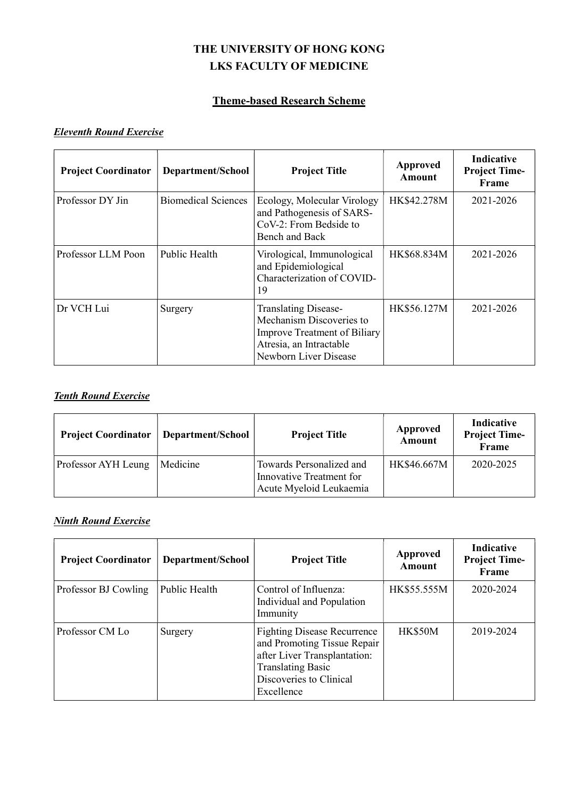# THE UNIVERSITY OF HONG KONG LKS FACULTY OF MEDICINE

# Theme-based Research Scheme

#### Eleventh Round Exercise

| <b>Project Coordinator</b> | Department/School          | <b>Project Title</b>                                                                                                                               | Approved<br>Amount | Indicative<br><b>Project Time-</b><br>Frame |
|----------------------------|----------------------------|----------------------------------------------------------------------------------------------------------------------------------------------------|--------------------|---------------------------------------------|
| Professor DY Jin           | <b>Biomedical Sciences</b> | Ecology, Molecular Virology<br>and Pathogenesis of SARS-<br>CoV-2: From Bedside to<br>Bench and Back                                               | HK\$42.278M        | 2021-2026                                   |
| Professor LLM Poon         | Public Health              | Virological, Immunological<br>and Epidemiological<br>Characterization of COVID-<br>19                                                              | HK\$68.834M        | 2021-2026                                   |
| Dr VCH Lui                 | Surgery                    | <b>Translating Disease-</b><br>Mechanism Discoveries to<br><b>Improve Treatment of Biliary</b><br>Atresia, an Intractable<br>Newborn Liver Disease | HK\$56.127M        | 2021-2026                                   |

#### **Tenth Round Exercise**

| <b>Project Coordinator</b> | Department/School | <b>Project Title</b>                                                            | Approved<br><b>Amount</b> | Indicative<br><b>Project Time-</b><br>Frame |
|----------------------------|-------------------|---------------------------------------------------------------------------------|---------------------------|---------------------------------------------|
| Professor AYH Leung        | Medicine          | Towards Personalized and<br>Innovative Treatment for<br>Acute Myeloid Leukaemia | HK\$46.667M               | 2020-2025                                   |

## Ninth Round Exercise

| <b>Project Coordinator</b> | Department/School | <b>Project Title</b>                                                                                                                                                   | <b>Approved</b><br>Amount | <b>Indicative</b><br><b>Project Time-</b><br>Frame |
|----------------------------|-------------------|------------------------------------------------------------------------------------------------------------------------------------------------------------------------|---------------------------|----------------------------------------------------|
| Professor BJ Cowling       | Public Health     | Control of Influenza:<br>Individual and Population<br>Immunity                                                                                                         | HK\$55.555M               | 2020-2024                                          |
| Professor CM Lo            | Surgery           | <b>Fighting Disease Recurrence</b><br>and Promoting Tissue Repair<br>after Liver Transplantation:<br><b>Translating Basic</b><br>Discoveries to Clinical<br>Excellence | <b>HK\$50M</b>            | 2019-2024                                          |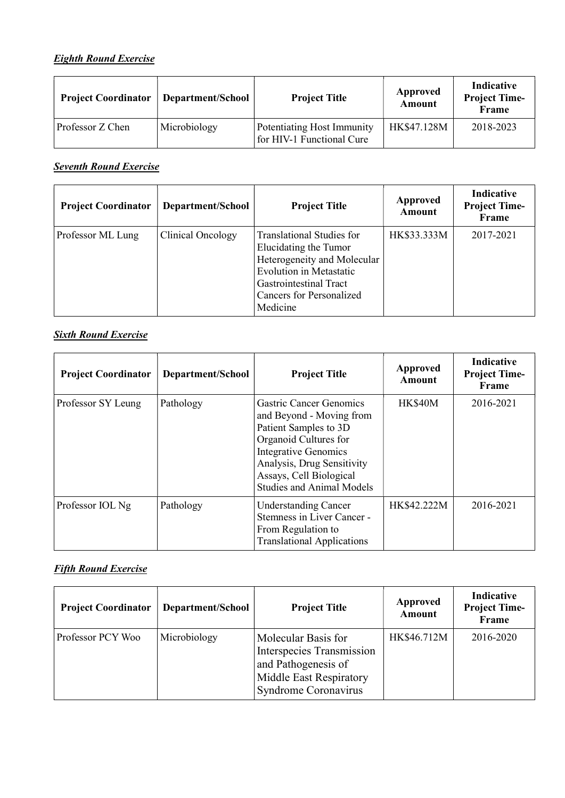# Eighth Round Exercise

| <b>Project Coordinator</b> | Department/School | <b>Project Title</b>                                    | Approved<br>Amount | <b>Indicative</b><br><b>Project Time-</b><br>Frame |
|----------------------------|-------------------|---------------------------------------------------------|--------------------|----------------------------------------------------|
| Professor Z Chen           | Microbiology      | Potentiating Host Immunity<br>for HIV-1 Functional Cure | HK\$47.128M        | 2018-2023                                          |

**Seventh Round Exercise** 

| <b>Project Coordinator</b> | Department/School | <b>Project Title</b>                                                                                                                                                                                | Approved<br><b>Amount</b> | Indicative<br><b>Project Time-</b><br>Frame |
|----------------------------|-------------------|-----------------------------------------------------------------------------------------------------------------------------------------------------------------------------------------------------|---------------------------|---------------------------------------------|
| Professor ML Lung          | Clinical Oncology | <b>Translational Studies for</b><br>Elucidating the Tumor<br>Heterogeneity and Molecular<br><b>Evolution in Metastatic</b><br>Gastrointestinal Tract<br><b>Cancers for Personalized</b><br>Medicine | HK\$33.333M               | 2017-2021                                   |

## **Sixth Round Exercise**

| <b>Project Coordinator</b> | Department/School | <b>Project Title</b>                                                                                                                                                                                                                     | Approved<br>Amount | <b>Indicative</b><br><b>Project Time-</b><br>Frame |
|----------------------------|-------------------|------------------------------------------------------------------------------------------------------------------------------------------------------------------------------------------------------------------------------------------|--------------------|----------------------------------------------------|
| Professor SY Leung         | Pathology         | <b>Gastric Cancer Genomics</b><br>and Beyond - Moving from<br>Patient Samples to 3D<br>Organoid Cultures for<br><b>Integrative Genomics</b><br>Analysis, Drug Sensitivity<br>Assays, Cell Biological<br><b>Studies and Animal Models</b> | <b>HK\$40M</b>     | 2016-2021                                          |
| Professor IOL Ng           | Pathology         | <b>Understanding Cancer</b><br>Stemness in Liver Cancer -<br>From Regulation to<br><b>Translational Applications</b>                                                                                                                     | HK\$42.222M        | 2016-2021                                          |

# **Fifth Round Exercise**

| <b>Project Coordinator</b> | Department/School | <b>Project Title</b>                                                                                                       | <b>Approved</b><br>Amount | Indicative<br><b>Project Time-</b><br>Frame |
|----------------------------|-------------------|----------------------------------------------------------------------------------------------------------------------------|---------------------------|---------------------------------------------|
| Professor PCY Woo          | Microbiology      | Molecular Basis for<br>Interspecies Transmission<br>and Pathogenesis of<br>Middle East Respiratory<br>Syndrome Coronavirus | HK\$46.712M               | 2016-2020                                   |